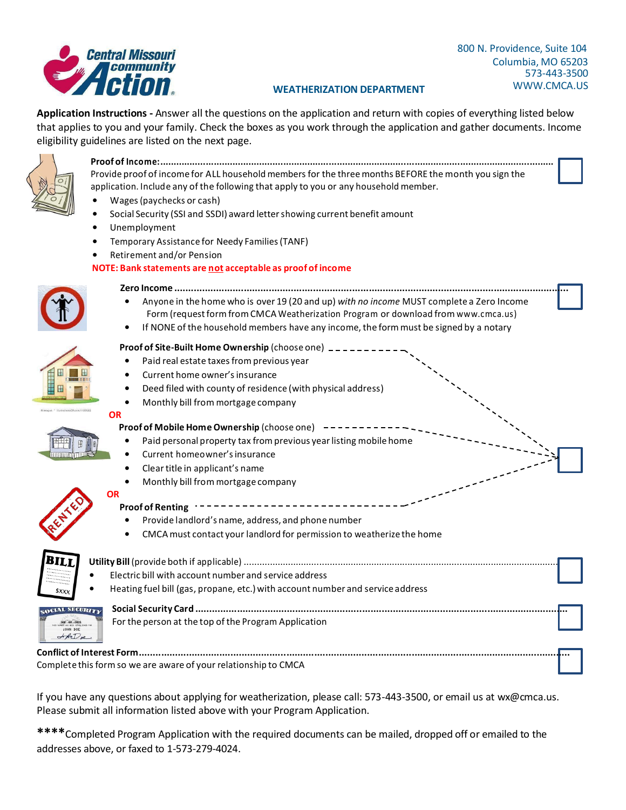**Application Instructions -** Answer all the questions on the application and return with copies of everything listed below that applies to you and your family. Check the boxes as you work through the application and gather documents. Income eligibility guidelines are listed on the next page.



#### **Proof of Income:...................................................................................................................................................**  Provide proof of income for ALL household members for the three months BEFORE the month you sign the application. Include any of the following that apply to you or any household member.

- Wages(paychecks or cash)
- Social Security (SSI and SSDI) award lettershowing current benefit amount
- Unemployment
- Temporary Assistance for Needy Families(TANF)
- Retirement and/or Pension

### **NOTE: Bank statements are not acceptable as proof of income**



#### **Zero Income ..............................................................................................................................................** • Anyone in the home who is over 19 (20 and up) *with no income* MUST complete a Zero Income

- Form (request form from CMCA Weatherization Program or download from [www.cmca.us\)](http://www.cmca.us/)
- If NONE of the household members have any income, the form must be signed by a notary

#### **Proof of Site-Built Home Ownership** (choose one)

- Paid real estate taxes from previous year
- Current home owner's insurance
- Deed filed with county of residence (with physical address)
- Monthly bill from mortgage company

#### **OR**

**OR**

#### **Proof of Mobile Home Ownership** (choose one)  $------$

- Paid personal property tax from previous year listing mobile home
- Current homeowner'sinsurance
- Cleartitle in applicant's name
- Monthly bill from mortgage company



## **Proof of Renting**

- Provide landlord's name, address, and phone number
- CMCAmust contact your landlord for permission to weatherize the home



# **Utility Bill** (provide both if applicable) ......................................................................................................................... • Electric bill with account number and service address • Heating fuel bill (gas, propane, etc.) with account number and service address **Social Security Card ......................................................................................................................................**



| Heating fuel bill (gas, propane, etc.) with account number and service address |  |
|--------------------------------------------------------------------------------|--|
| For the person at the top of the Program Application                           |  |
|                                                                                |  |

**Conflict of Interest Form...........................................................................................................................................................** Complete this form so we are aware of your relationship to CMCA

If you have any questions about applying for weatherization, please call: 573-443-3500, or email us at [wx@cmca.us.](mailto:wx@cmca.us) Please submit all information listed above with your Program Application.

**\*\*\*\***Completed Program Application with the required documents can be mailed, dropped off or emailed to the addresses above, or faxed to 1-573-279-4024.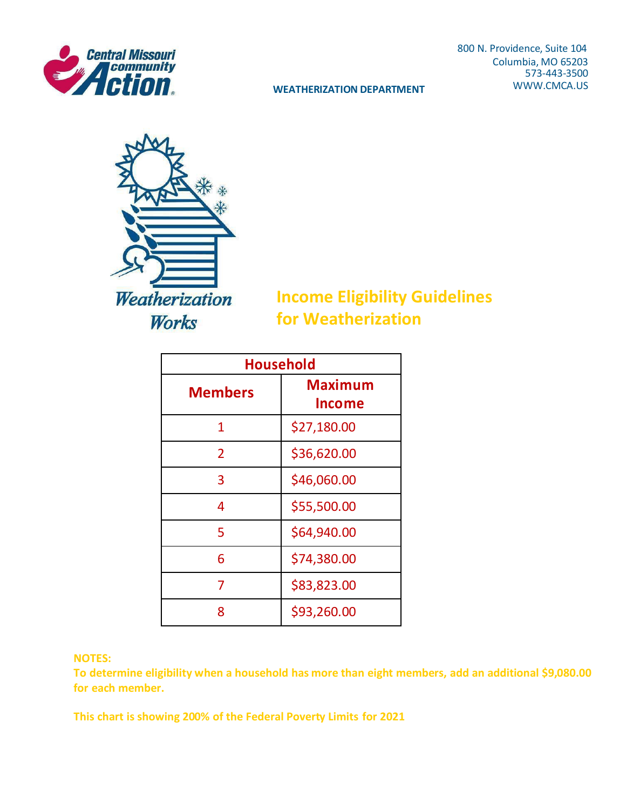

**WEATHERIZATION DEPARTMENT** 

800 N. Providence, Suite 104 Columbia, MO 65203 573-443-3500<br>WWW.CMCA.US



**Income Eligibility Guidelines for Weatherization**

| <b>Household</b> |                          |  |  |  |
|------------------|--------------------------|--|--|--|
| <b>Members</b>   | <b>Maximum</b><br>Income |  |  |  |
| 1                | \$27,180.00              |  |  |  |
| $\overline{2}$   | \$36,620.00              |  |  |  |
| 3                | \$46,060.00              |  |  |  |
| 4                | \$55,500.00              |  |  |  |
| 5                | \$64,940.00              |  |  |  |
| 6                | \$74,380.00              |  |  |  |
| 7                | \$83,823.00              |  |  |  |
| 8                | \$93,260.00              |  |  |  |

## **NOTES:**

**To determine eligibility when a household has more than eight members, add an additional \$9,080.00 for each member.**

**This chart is showing 200% of the Federal Poverty Limits for 2021**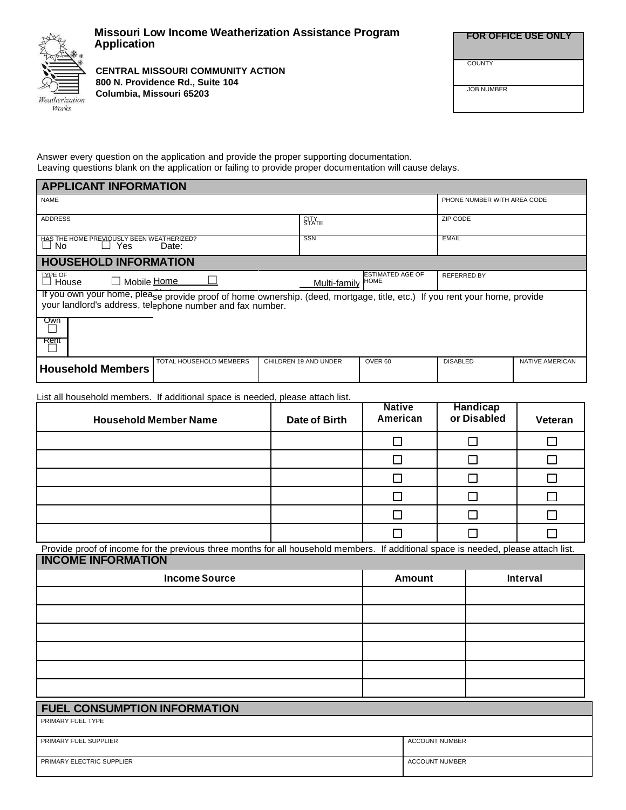

### **Missouri Low Income Weatherization Assistance Program Application**

**CENTRAL MISSOURI COMMUNITY ACTION 800 N. Providence Rd., Suite 104 Columbia, Missouri 65203**

| <b>FOR OFFICE USE ONLY</b> |  |
|----------------------------|--|

JOB NUMBER

**COUNTY** 

Answer every question on the application and provide the proper supporting documentation. Leaving questions blank on the application or failing to provide proper documentation will cause delays.

| <b>APPLICANT INFORMATION</b>                                                                                                                                                         |                       |                                        |                             |                 |  |  |
|--------------------------------------------------------------------------------------------------------------------------------------------------------------------------------------|-----------------------|----------------------------------------|-----------------------------|-----------------|--|--|
| <b>NAME</b>                                                                                                                                                                          |                       |                                        | PHONE NUMBER WITH AREA CODE |                 |  |  |
| <b>ADDRESS</b>                                                                                                                                                                       | <b>STATE</b>          |                                        | ZIP CODE                    |                 |  |  |
| HAS THE HOME PREVIOUSLY BEEN WEATHERIZED?<br>Yes<br>No<br>Date:                                                                                                                      | SSN                   |                                        | <b>EMAIL</b>                |                 |  |  |
| <b>HOUSEHOLD INFORMATION</b>                                                                                                                                                         |                       |                                        |                             |                 |  |  |
| <b>TYPE OF</b><br>□ Mobile Home<br>House                                                                                                                                             | Multi-family          | <b>ESTIMATED AGE OF</b><br><b>HOME</b> | <b>REFERRED BY</b>          |                 |  |  |
| If you own your home, please provide proof of home ownership. (deed, mortgage, title, etc.) If you rent your home, provide your landlord's address, telephone number and fax number. |                       |                                        |                             |                 |  |  |
| Own<br>Rent                                                                                                                                                                          |                       |                                        |                             |                 |  |  |
|                                                                                                                                                                                      |                       |                                        |                             |                 |  |  |
| TOTAL HOUSEHOLD MEMBERS<br><b>Household Members</b>                                                                                                                                  | CHILDREN 19 AND UNDER | OVER <sub>60</sub>                     | <b>DISABLED</b>             | NATIVE AMERICAN |  |  |

List all household members. If additional space is needed, please attach list.

| <b>Household Member Name</b> | Date of Birth | <b>Native</b><br>American | Handicap<br>or Disabled | Veteran |
|------------------------------|---------------|---------------------------|-------------------------|---------|
|                              |               |                           |                         |         |
|                              |               |                           |                         |         |
|                              |               |                           |                         |         |
|                              |               |                           |                         |         |
|                              |               |                           |                         |         |
|                              |               |                           |                         |         |

Provide proof of income for the previous three months for all household members. If additional space is needed, please attach list. **INCOME INFORMATION**

| <b>Income Source</b> | <b>Amount</b> | Interval |
|----------------------|---------------|----------|
|                      |               |          |
|                      |               |          |
|                      |               |          |
|                      |               |          |
|                      |               |          |
|                      |               |          |

| <b>FUEL CONSUMPTION INFORMATION</b> |                       |  |  |  |
|-------------------------------------|-----------------------|--|--|--|
| PRIMARY FUEL TYPE                   |                       |  |  |  |
|                                     |                       |  |  |  |
| PRIMARY FUEL SUPPLIER               | <b>ACCOUNT NUMBER</b> |  |  |  |
|                                     |                       |  |  |  |
| PRIMARY ELECTRIC SUPPLIER           | <b>ACCOUNT NUMBER</b> |  |  |  |
|                                     |                       |  |  |  |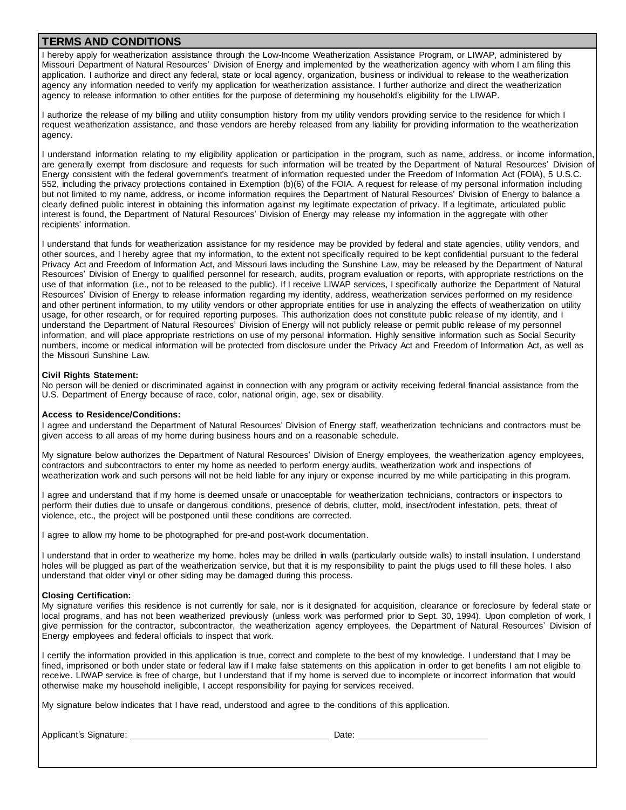#### **TERMS AND CONDITIONS**

I hereby apply for weatherization assistance through the Low-Income Weatherization Assistance Program, or LIWAP, administered by Missouri Department of Natural Resources' Division of Energy and implemented by the weatherization agency with whom I am filing this application. I authorize and direct any federal, state or local agency, organization, business or individual to release to the weatherization agency any information needed to verify my application for weatherization assistance. I further authorize and direct the weatherization agency to release information to other entities for the purpose of determining my household's eligibility for the LIWAP.

I authorize the release of my billing and utility consumption history from my utility vendors providing service to the residence for which I request weatherization assistance, and those vendors are hereby released from any liability for providing information to the weatherization agency.

I understand information relating to my eligibility application or participation in the program, such as name, address, or income information, are generally exempt from disclosure and requests for such information will be treated by the Department of Natural Resources' Division of Energy consistent with the federal government's treatment of information requested under the Freedom of Information Act (FOIA), 5 U.S.C. 552, including the privacy protections contained in Exemption (b)(6) of the FOIA. A request for release of my personal information including but not limited to my name, address, or income information requires the Department of Natural Resources' Division of Energy to balance a clearly defined public interest in obtaining this information against my legitimate expectation of privacy. If a legitimate, articulated public interest is found, the Department of Natural Resources' Division of Energy may release my information in the aggregate with other recipients' information.

I understand that funds for weatherization assistance for my residence may be provided by federal and state agencies, utility vendors, and other sources, and I hereby agree that my information, to the extent not specifically required to be kept confidential pursuant to the federal Privacy Act and Freedom of Information Act, and Missouri laws including the Sunshine Law, may be released by the Department of Natural Resources' Division of Energy to qualified personnel for research, audits, program evaluation or reports, with appropriate restrictions on the use of that information (i.e., not to be released to the public). If I receive LIWAP services, I specifically authorize the Department of Natural Resources' Division of Energy to release information regarding my identity, address, weatherization services performed on my residence and other pertinent information, to my utility vendors or other appropriate entities for use in analyzing the effects of weatherization on utility usage, for other research, or for required reporting purposes. This authorization does not constitute public release of my identity, and I understand the Department of Natural Resources' Division of Energy will not publicly release or permit public release of my personnel information, and will place appropriate restrictions on use of my personal information. Highly sensitive information such as Social Security numbers, income or medical information will be protected from disclosure under the Privacy Act and Freedom of Information Act, as well as the Missouri Sunshine Law.

#### **Civil Rights Statement:**

No person will be denied or discriminated against in connection with any program or activity receiving federal financial assistance from the U.S. Department of Energy because of race, color, national origin, age, sex or disability.

#### **Access to Residence/Conditions:**

I agree and understand the Department of Natural Resources' Division of Energy staff, weatherization technicians and contractors must be given access to all areas of my home during business hours and on a reasonable schedule.

My signature below authorizes the Department of Natural Resources' Division of Energy employees, the weatherization agency employees, contractors and subcontractors to enter my home as needed to perform energy audits, weatherization work and inspections of weatherization work and such persons will not be held liable for any injury or expense incurred by me while participating in this program.

I agree and understand that if my home is deemed unsafe or unacceptable for weatherization technicians, contractors or inspectors to perform their duties due to unsafe or dangerous conditions, presence of debris, clutter, mold, insect/rodent infestation, pets, threat of violence, etc., the project will be postponed until these conditions are corrected.

I agree to allow my home to be photographed for pre-and post-work documentation.

I understand that in order to weatherize my home, holes may be drilled in walls (particularly outside walls) to install insulation. I understand holes will be plugged as part of the weatherization service, but that it is my responsibility to paint the plugs used to fill these holes. I also understand that older vinyl or other siding may be damaged during this process.

#### **Closing Certification:**

My signature verifies this residence is not currently for sale, nor is it designated for acquisition, clearance or foreclosure by federal state or local programs, and has not been weatherized previously (unless work was performed prior to Sept. 30, 1994). Upon completion of work, I give permission for the contractor, subcontractor, the weatherization agency employees, the Department of Natural Resources' Division of Energy employees and federal officials to inspect that work.

I certify the information provided in this application is true, correct and complete to the best of my knowledge. I understand that I may be fined, imprisoned or both under state or federal law if I make false statements on this application in order to get benefits I am not eligible to receive. LIWAP service is free of charge, but I understand that if my home is served due to incomplete or incorrect information that would otherwise make my household ineligible, I accept responsibility for paying for services received.

My signature below indicates that I have read, understood and agree to the conditions of this application.

Applicant's Signature: Date: Date: Date: Date: Date: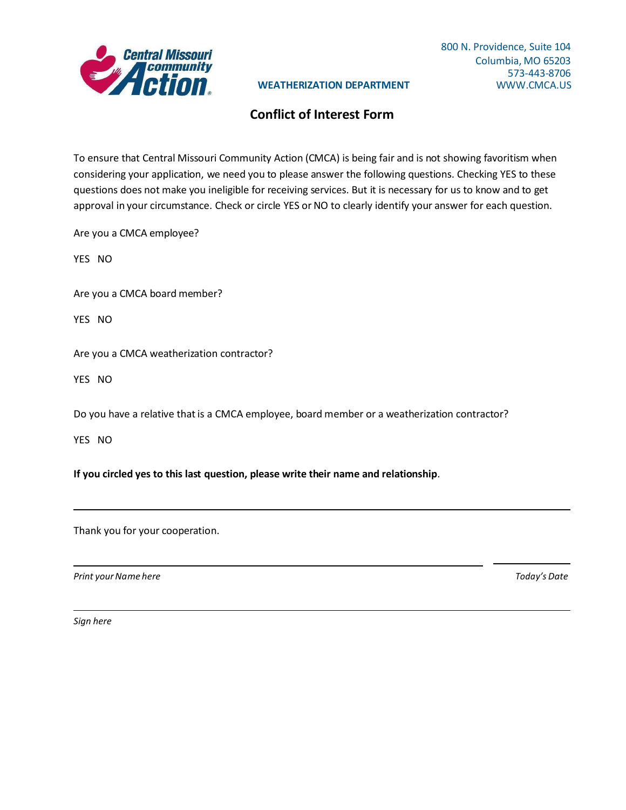

## **WEATHERIZATION DEPARTMENT**

## **Conflict of Interest Form**

To ensure that Central Missouri Community Action (CMCA) is being fair and is not showing favoritism when considering your application, we need you to please answer the following questions. Checking YES to these questions does not make you ineligible for receiving services. But it is necessary for us to know and to get approval in your circumstance. Check or circle YES or NO to clearly identify your answer for each question.

Are you a CMCA employee?

YES NO

Are you a CMCA board member?

YES NO

Are you a CMCA weatherization contractor?

YES NO

Do you have a relative that is a CMCA employee, board member or a weatherization contractor?

YES NO

**If you circled yes to this last question, please write their name and relationship**.

Thank you for your cooperation.

*Print yourName here Today's Date*

*Sign here*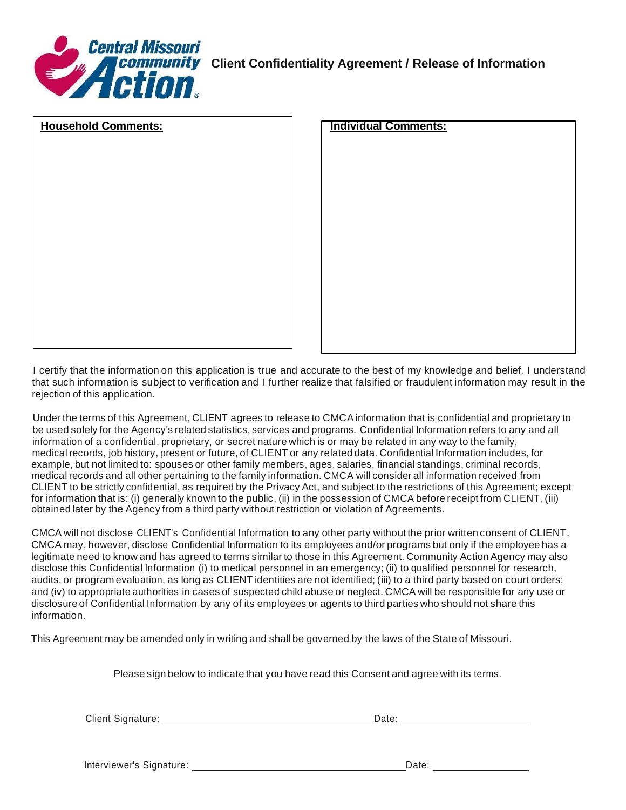

| <b>Household Comments:</b> | <b>Individual Comments:</b> |
|----------------------------|-----------------------------|
|                            |                             |
|                            |                             |
|                            |                             |
|                            |                             |
|                            |                             |
|                            |                             |
|                            |                             |
|                            |                             |
|                            |                             |
|                            |                             |
|                            |                             |
|                            |                             |
|                            |                             |
|                            |                             |
|                            |                             |
|                            |                             |
|                            |                             |
|                            |                             |
|                            |                             |

I certify that the information on this application is true and accurate to the best of my knowledge and belief. I understand that such information is subject to verification and I further realize that falsified or fraudulent information may result in the rejection of this application.

Under the terms of this Agreement, CLIENT agrees to release to CMCA information that is confidential and proprietary to be used solely for the Agency's related statistics, services and programs. Confidential Information refers to any and all information of a confidential, proprietary, or secret nature which is or may be related in any way to the family, medical records, job history, present or future, of CLIENT or any related data. Confidential Information includes, for example, but not limited to: spouses or other family members, ages, salaries, financial standings, criminal records, medical records and all other pertaining to the family information. CMCA will consider all information received from CLIENT to be strictly confidential, as required by the Privacy Act, and subject to the restrictions of this Agreement; except for information that is: (i) generally known to the public, (ii) in the possession of CMCA before receipt from CLIENT, (iii) obtained later by the Agency from a third party without restriction or violation of Agreements.

CMCA will not disclose CLIENT's Confidential Information to any other party without the prior written consent of CLIENT. CMCA may, however, disclose Confidential Information to its employees and/or programs but only if the employee has a legitimate need to know and has agreed to terms similar to those in this Agreement. Community Action Agency may also disclose this Confidential Information (i) to medical personnel in an emergency; (ii) to qualified personnel for research, audits, or program evaluation, as long as CLIENT identities are not identified; (iii) to a third party based on court orders; and (iv) to appropriate authorities in cases of suspected child abuse or neglect. CMCA will be responsible for any use or disclosure of Confidential Information by any of its employees or agents to third parties who should not share this information.

This Agreement may be amended only in writing and shall be governed by the laws of the State of Missouri.

Please sign below to indicate that you have read this Consent and agree with its terms.

Client Signature: Date: Date: Date: Date: Date: Date: Date: Date: Date: Date: Date: Date: Date: Date: Date: Date: Date: Date: Date: Date: Date: Date: Date: Date: Date: Date: Date: Date: Date: Date: Date: Date: Date: Date:

Interviewer's Signature: The Contract of the Contract of the Date: Date: Date: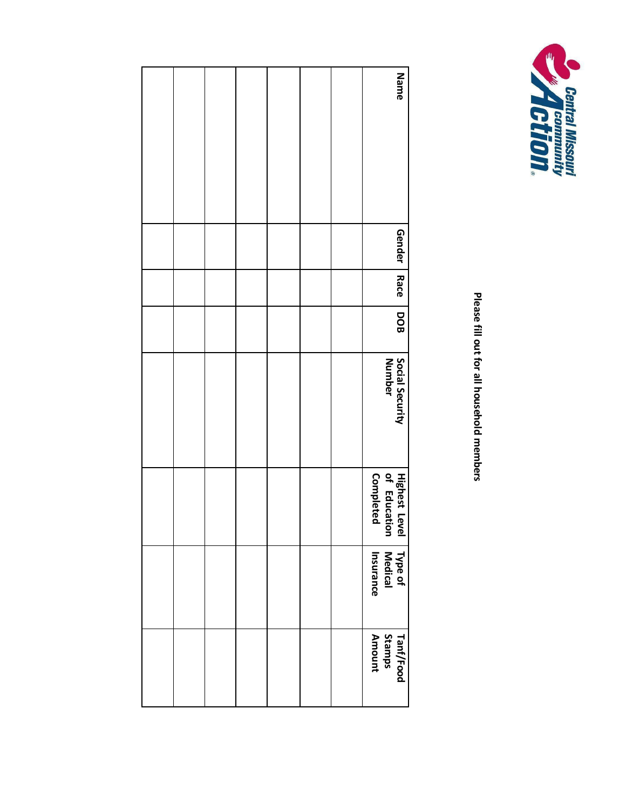

**Please fill out for all household members**

|  |  |  | Name                                       |
|--|--|--|--------------------------------------------|
|  |  |  |                                            |
|  |  |  |                                            |
|  |  |  |                                            |
|  |  |  | <b>Gender</b>                              |
|  |  |  | <b>Race</b>                                |
|  |  |  | DOB<br>B                                   |
|  |  |  | Social Security<br>Number                  |
|  |  |  |                                            |
|  |  |  |                                            |
|  |  |  |                                            |
|  |  |  | Highest Level<br>of Education<br>Completed |
|  |  |  | Type of<br>Medical<br>Insurance            |
|  |  |  |                                            |
|  |  |  | Tanf/Food<br>Stamps<br>Amount              |
|  |  |  |                                            |